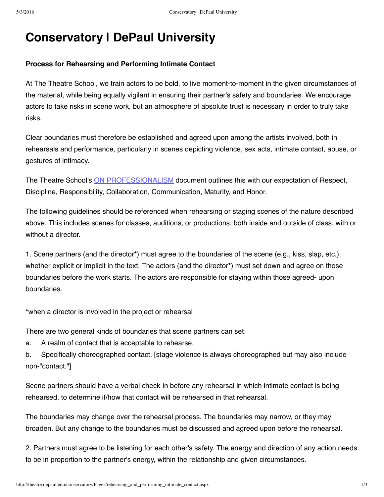# **Conservatory | DePaul University**

### **Process for Rehearsing and Performing Intimate Contact**

At The Theatre School, we train actors to be bold, to live moment-to-moment in the given circumstances of the material, while being equally vigilant in ensuring their partner's safety and boundaries. We encourage actors to take risks in scene work, but an atmosphere of absolute trust is necessary in order to truly take risks.

Clear boundaries must therefore be established and agreed upon among the artists involved, both in rehearsals and performance, particularly in scenes depicting violence, sex acts, intimate contact, abuse, or gestures of intimacy.

The Theatre School's ON [PROFESSIONALISM](http://theatre.depaul.edu/conservatory/Pages/On_Professionalism.aspx) document outlines this with our expectation of Respect, Discipline, Responsibility, Collaboration, Communication, Maturity, and Honor.

The following guidelines should be referenced when rehearsing or staging scenes of the nature described above. This includes scenes for classes, auditions, or productions, both inside and outside of class, with or without a director.

1. Scene partners (and the director**\***) must agree to the boundaries of the scene (e.g., kiss, slap, etc.), whether explicit or implicit in the text. The actors (and the director**\***) must set down and agree on those boundaries before the work starts. The actors are responsible for staying within those agreed- upon boundaries.

**\***when a director is involved in the project or rehearsal

There are two general kinds of boundaries that scene partners can set:

a. A realm of contact that is acceptable to rehearse.

b. Specifically choreographed contact. [stage violence is always choreographed but may also include non-"contact."]

Scene partners should have a verbal check-in before any rehearsal in which intimate contact is being rehearsed, to determine if/how that contact will be rehearsed in that rehearsal.

The boundaries may change over the rehearsal process. The boundaries may narrow, or they may broaden. But any change to the boundaries must be discussed and agreed upon before the rehearsal.

2. Partners must agree to be listening for each other's safety. The energy and direction of any action needs to be in proportion to the partner's energy, within the relationship and given circumstances.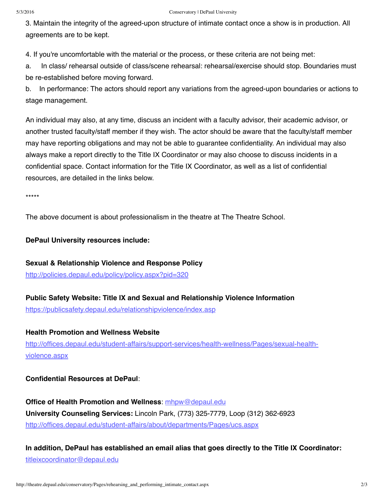#### 5/3/2016 Conservatory | DePaul University

3. Maintain the integrity of the agreed-upon structure of intimate contact once a show is in production. All agreements are to be kept.

4. If you're uncomfortable with the material or the process, or these criteria are not being met:

a. In class/ rehearsal outside of class/scene rehearsal: rehearsal/exercise should stop. Boundaries must be re-established before moving forward.

b. In performance: The actors should report any variations from the agreed-upon boundaries or actions to stage management.

An individual may also, at any time, discuss an incident with a faculty advisor, their academic advisor, or another trusted faculty/staff member if they wish. The actor should be aware that the faculty/staff member may have reporting obligations and may not be able to guarantee confidentiality. An individual may also always make a report directly to the Title IX Coordinator or may also choose to discuss incidents in a confidential space. Contact information for the Title IX Coordinator, as well as a list of confidential resources, are detailed in the links below.

\*\*\*\*\*

The above document is about professionalism in the theatre at The Theatre School.

**DePaul University resources include:**

**Sexual & Relationship Violence and Response Policy** <http://policies.depaul.edu/policy/policy.aspx?pid=320>

**Public Safety Website: Title IX and Sexual and Relationship Violence Information**

<https://publicsafety.depaul.edu/relationshipviolence/index.asp>

#### **Health Promotion and Wellness Website**

[http://offices.depaul.edu/student-affairs/support-services/health-wellness/Pages/sexual-health](http://offices.depaul.edu/student-affairs/support-services/health-wellness/Pages/sexual-health-violence.aspx)violence.aspx

#### **Confidential Resources at DePaul**:

**Office of Health Promotion and Wellness**: [mhpw@depaul.edu](mailto:mhpw@depaul.edu) **University Counseling Services:** Lincoln Park, (773) 325-7779, Loop (312) 362-6923 <http://offices.depaul.edu/student-affairs/about/departments/Pages/ucs.aspx>

**In addition, DePaul has established an email alias that goes directly to the Title IX Coordinator:** [titleixcoordinator@depaul.edu](mailto:titleixcoordinator@depaul.edu.)